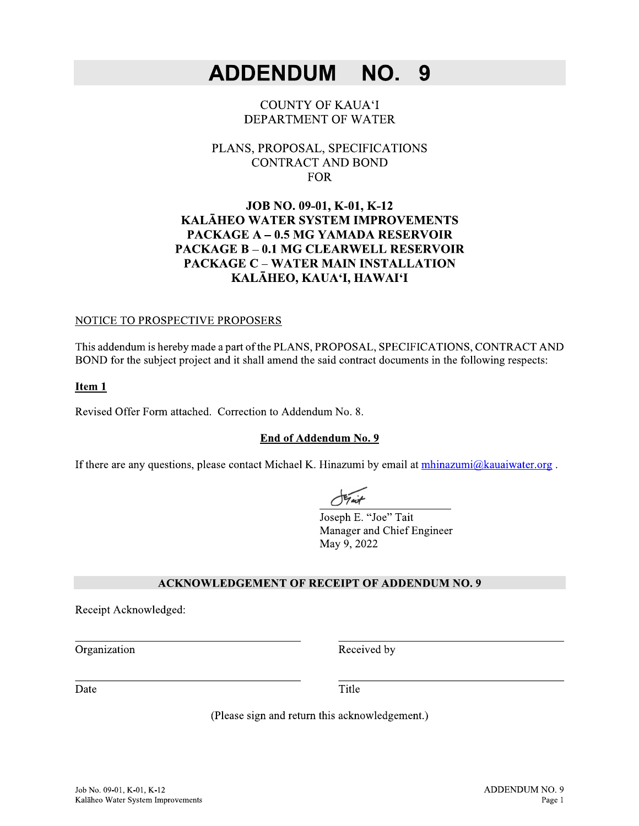#### **ADDENDUM** NO. 9

#### **COUNTY OF KAUA'I** DEPARTMENT OF WATER

#### PLANS, PROPOSAL, SPECIFICATIONS **CONTRACT AND BOND FOR**

#### JOB NO. 09-01, K-01, K-12 KALĀHEO WATER SYSTEM IMPROVEMENTS **PACKAGE A - 0.5 MG YAMADA RESERVOIR PACKAGE B - 0.1 MG CLEARWELL RESERVOIR PACKAGE C - WATER MAIN INSTALLATION** KALĀHEO, KAUA'I, HAWAI'I

#### NOTICE TO PROSPECTIVE PROPOSERS

This addendum is hereby made a part of the PLANS, PROPOSAL, SPECIFICATIONS, CONTRACT AND BOND for the subject project and it shall amend the said contract documents in the following respects:

#### Item 1

Revised Offer Form attached. Correction to Addendum No. 8.

#### End of Addendum No. 9

If there are any questions, please contact Michael K. Hinazumi by email at mhinazumi@kauaiwater.org.

Joseph E. "Joe" Tait Manager and Chief Engineer May 9, 2022

#### **ACKNOWLEDGEMENT OF RECEIPT OF ADDENDUM NO. 9**

Receipt Acknowledged:

Organization

Received by

Date

Title

(Please sign and return this acknowledgement.)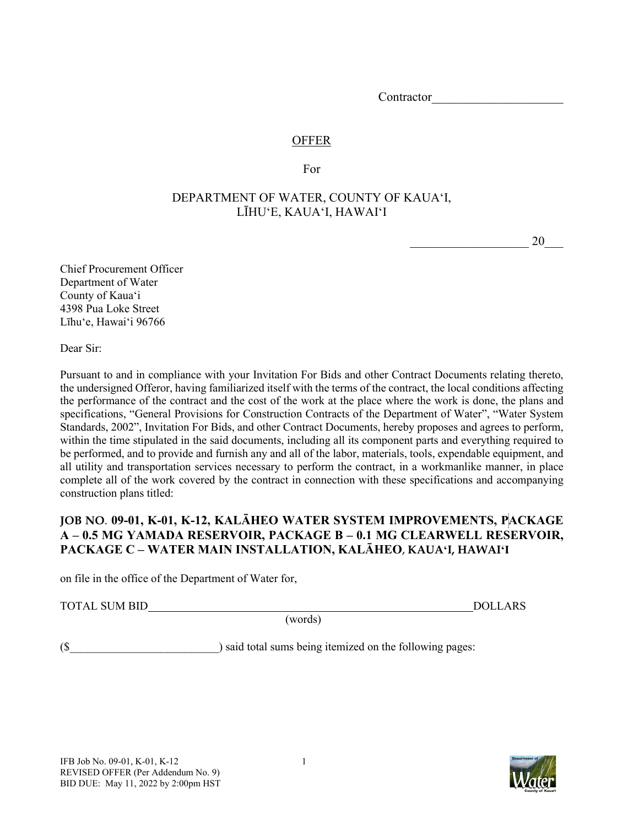Contractor

## **OFFER**

For

# DEPARTMENT OF WATER, COUNTY OF KAUAʻI, LĪHUʻE, KAUAʻI, HAWAIʻI

 $20$ 

Chief Procurement Officer Department of Water County of Kauaʻi 4398 Pua Loke Street Līhuʻe, Hawaiʻi 96766

Dear Sir:

Pursuant to and in compliance with your Invitation For Bids and other Contract Documents relating thereto, the undersigned Offeror, having familiarized itself with the terms of the contract, the local conditions affecting the performance of the contract and the cost of the work at the place where the work is done, the plans and specifications, "General Provisions for Construction Contracts of the Department of Water", "Water System Standards, 2002", Invitation For Bids, and other Contract Documents, hereby proposes and agrees to perform, within the time stipulated in the said documents, including all its component parts and everything required to be performed, and to provide and furnish any and all of the labor, materials, tools, expendable equipment, and all utility and transportation services necessary to perform the contract, in a workmanlike manner, in place complete all of the work covered by the contract in connection with these specifications and accompanying construction plans titled:

# **JOB NO**. **09-01, K-01, K-12, KALĀHEO WATER SYSTEM IMPROVEMENTS, PACKAGE A – 0.5 MG YAMADA RESERVOIR, PACKAGE B – 0.1 MG CLEARWELL RESERVOIR, PACKAGE C – WATER MAIN INSTALLATION, KALĀHEO**, **KAUAʻI, HAWAIʻI**

on file in the office of the Department of Water for,

TOTAL SUM BID DOLLARS

(words)

(\$ ) said total sums being itemized on the following pages:

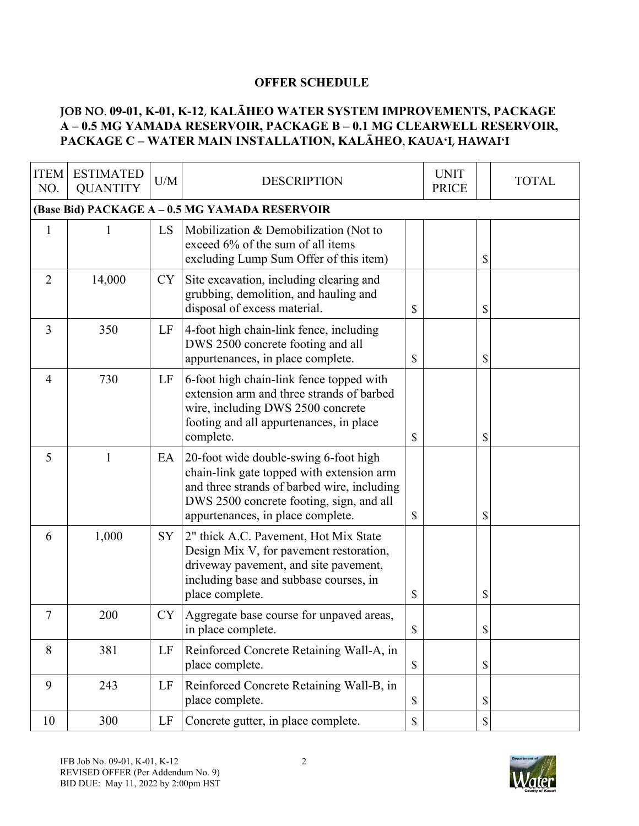# **OFFER SCHEDULE**

# **JOB NO**. **09-01, K-01, K-12**, **KALĀHEO WATER SYSTEM IMPROVEMENTS, PACKAGE A – 0.5 MG YAMADA RESERVOIR, PACKAGE B – 0.1 MG CLEARWELL RESERVOIR, PACKAGE C – WATER MAIN INSTALLATION, KALĀHEO**, **KAUAʻI, HAWAIʻI**

| <b>ITEM</b><br>NO. | <b>ESTIMATED</b><br><b>QUANTITY</b> | U/M       | <b>DESCRIPTION</b>                                                                                                                                                                                                 |               | <b>UNIT</b><br><b>PRICE</b> |                           | <b>TOTAL</b> |
|--------------------|-------------------------------------|-----------|--------------------------------------------------------------------------------------------------------------------------------------------------------------------------------------------------------------------|---------------|-----------------------------|---------------------------|--------------|
|                    |                                     |           | (Base Bid) PACKAGE A - 0.5 MG YAMADA RESERVOIR                                                                                                                                                                     |               |                             |                           |              |
| $\mathbf{1}$       |                                     | LS        | Mobilization & Demobilization (Not to<br>exceed 6% of the sum of all items<br>excluding Lump Sum Offer of this item)                                                                                               |               |                             | \$                        |              |
| $\overline{2}$     | 14,000                              | CY        | Site excavation, including clearing and<br>grubbing, demolition, and hauling and<br>disposal of excess material.                                                                                                   | \$            |                             | \$                        |              |
| $\overline{3}$     | 350                                 | LF        | 4-foot high chain-link fence, including<br>DWS 2500 concrete footing and all<br>appurtenances, in place complete.                                                                                                  | \$            |                             | \$                        |              |
| $\overline{4}$     | 730                                 | LF        | 6-foot high chain-link fence topped with<br>extension arm and three strands of barbed<br>wire, including DWS 2500 concrete<br>footing and all appurtenances, in place<br>complete.                                 | \$            |                             | \$                        |              |
| 5                  | 1                                   | EA        | 20-foot wide double-swing 6-foot high<br>chain-link gate topped with extension arm<br>and three strands of barbed wire, including<br>DWS 2500 concrete footing, sign, and all<br>appurtenances, in place complete. | \$            |                             | \$                        |              |
| 6                  | 1,000                               | SY        | 2" thick A.C. Pavement, Hot Mix State<br>Design Mix V, for pavement restoration,<br>driveway pavement, and site pavement,<br>including base and subbase courses, in<br>place complete.                             | $\mathcal{S}$ |                             | \$                        |              |
| 7                  | 200                                 | <b>CY</b> | Aggregate base course for unpaved areas,<br>in place complete.                                                                                                                                                     | \$            |                             | \$                        |              |
| 8                  | 381                                 | LF        | Reinforced Concrete Retaining Wall-A, in<br>place complete.                                                                                                                                                        | $\mathbb{S}$  |                             | $\boldsymbol{\mathsf{S}}$ |              |
| 9                  | 243                                 | LF        | Reinforced Concrete Retaining Wall-B, in<br>place complete.                                                                                                                                                        | $\$$          |                             | $\mathcal{S}$             |              |
| 10                 | 300                                 | LF        | Concrete gutter, in place complete.                                                                                                                                                                                | $\mathbb S$   |                             | $\mathbb S$               |              |

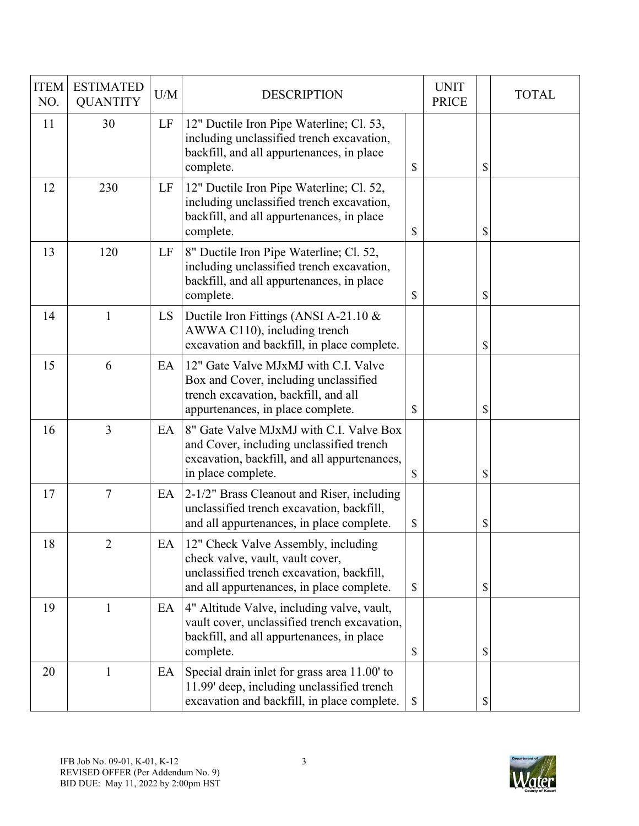| <b>ITEM</b><br>NO. | <b>ESTIMATED</b><br><b>QUANTITY</b> | U/M | <b>DESCRIPTION</b>                                                                                                                                                |               | <b>UNIT</b><br><b>PRICE</b> | <b>TOTAL</b> |
|--------------------|-------------------------------------|-----|-------------------------------------------------------------------------------------------------------------------------------------------------------------------|---------------|-----------------------------|--------------|
| 11                 | 30                                  | LF  | 12" Ductile Iron Pipe Waterline; Cl. 53,<br>including unclassified trench excavation,<br>backfill, and all appurtenances, in place<br>complete.                   | \$            |                             | \$           |
| 12                 | 230                                 | LF  | 12" Ductile Iron Pipe Waterline; Cl. 52,<br>including unclassified trench excavation,<br>backfill, and all appurtenances, in place<br>complete.                   | \$            |                             | \$           |
| 13                 | 120                                 | LF  | 8" Ductile Iron Pipe Waterline; Cl. 52,<br>including unclassified trench excavation,<br>backfill, and all appurtenances, in place<br>complete.                    | \$            |                             | \$           |
| 14                 | 1                                   | LS  | Ductile Iron Fittings (ANSI A-21.10 $\&$<br>AWWA C110), including trench<br>excavation and backfill, in place complete.                                           |               |                             | \$           |
| 15                 | 6                                   | EA  | 12" Gate Valve MJxMJ with C.I. Valve<br>Box and Cover, including unclassified<br>trench excavation, backfill, and all<br>appurtenances, in place complete.        | \$            |                             | \$           |
| 16                 | $\overline{3}$                      | EA  | 8" Gate Valve MJxMJ with C.I. Valve Box<br>and Cover, including unclassified trench<br>excavation, backfill, and all appurtenances,<br>in place complete.         | $\mathcal{S}$ |                             | \$           |
| 17                 | $\tau$                              | EA  | 2-1/2" Brass Cleanout and Riser, including<br>unclassified trench excavation, backfill,<br>and all appurtenances, in place complete.                              | \$            |                             | \$           |
| 18                 | $\overline{2}$                      | EA  | 12" Check Valve Assembly, including<br>check valve, vault, vault cover,<br>unclassified trench excavation, backfill,<br>and all appurtenances, in place complete. | \$            |                             | \$           |
| 19                 | 1                                   | EA  | 4" Altitude Valve, including valve, vault,<br>vault cover, unclassified trench excavation,<br>backfill, and all appurtenances, in place<br>complete.              | \$            |                             | \$           |
| 20                 | 1                                   | EA  | Special drain inlet for grass area 11.00' to<br>11.99' deep, including unclassified trench<br>excavation and backfill, in place complete.                         | \$            |                             | \$           |

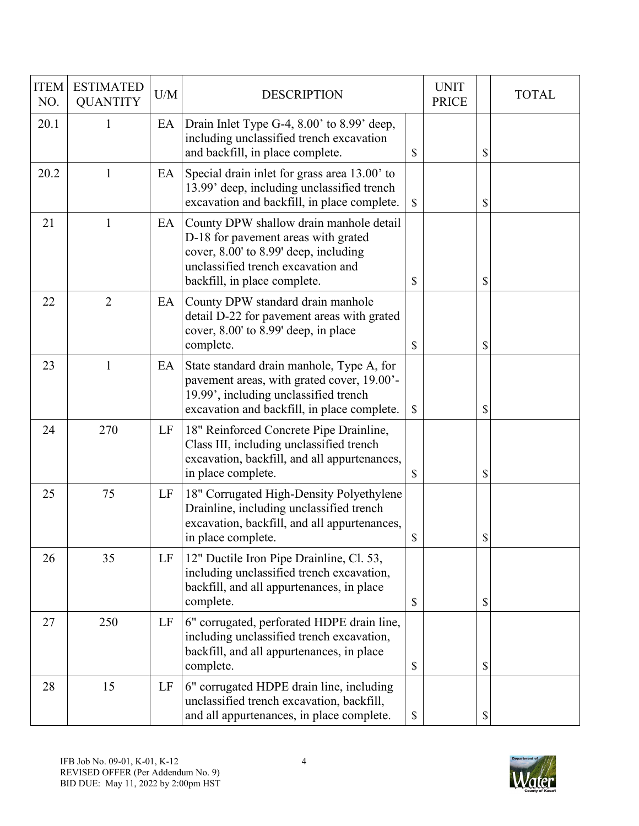| <b>ITEM</b><br>NO. | <b>ESTIMATED</b><br><b>QUANTITY</b> | U/M | <b>DESCRIPTION</b>                                                                                                                                                                            | <b>UNIT</b><br><b>PRICE</b> | <b>TOTAL</b> |
|--------------------|-------------------------------------|-----|-----------------------------------------------------------------------------------------------------------------------------------------------------------------------------------------------|-----------------------------|--------------|
| 20.1               | 1                                   | EA  | Drain Inlet Type G-4, 8.00' to 8.99' deep,<br>including unclassified trench excavation<br>and backfill, in place complete.                                                                    | \$                          | \$           |
| 20.2               | 1                                   | EA  | Special drain inlet for grass area 13.00' to<br>13.99' deep, including unclassified trench<br>excavation and backfill, in place complete.                                                     | \$                          | \$           |
| 21                 | 1                                   | EA  | County DPW shallow drain manhole detail<br>D-18 for pavement areas with grated<br>cover, 8.00' to 8.99' deep, including<br>unclassified trench excavation and<br>backfill, in place complete. | \$                          | \$           |
| 22                 | $\overline{2}$                      | EA  | County DPW standard drain manhole<br>detail D-22 for pavement areas with grated<br>cover, 8.00' to 8.99' deep, in place<br>complete.                                                          | \$                          | \$           |
| 23                 | 1                                   | EA  | State standard drain manhole, Type A, for<br>pavement areas, with grated cover, 19.00'-<br>19.99', including unclassified trench<br>excavation and backfill, in place complete.               | \$                          | \$           |
| 24                 | 270                                 | LF  | 18" Reinforced Concrete Pipe Drainline,<br>Class III, including unclassified trench<br>excavation, backfill, and all appurtenances,<br>in place complete.                                     | \$                          | \$           |
| 25                 | 75                                  | LF  | 18" Corrugated High-Density Polyethylene<br>Drainline, including unclassified trench<br>excavation, backfill, and all appurtenances,<br>in place complete.                                    | \$                          | \$           |
| 26                 | 35                                  | LF  | 12" Ductile Iron Pipe Drainline, Cl. 53,<br>including unclassified trench excavation,<br>backfill, and all appurtenances, in place<br>complete.                                               | \$                          | \$           |
| 27                 | 250                                 | LF  | 6" corrugated, perforated HDPE drain line,<br>including unclassified trench excavation,<br>backfill, and all appurtenances, in place<br>complete.                                             | \$                          | \$           |
| 28                 | 15                                  | LF  | 6" corrugated HDPE drain line, including<br>unclassified trench excavation, backfill,<br>and all appurtenances, in place complete.                                                            | \$                          | \$           |

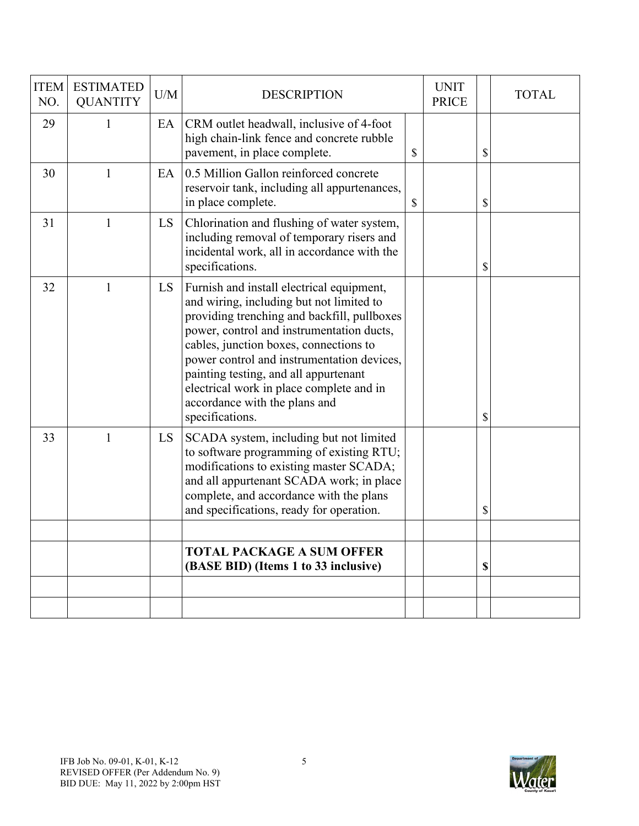| <b>ITEM</b><br>NO. | <b>ESTIMATED</b><br><b>QUANTITY</b> | U/M | <b>DESCRIPTION</b>                                                                                                                                                                                                                                                                                                                                                                                                 | <b>UNIT</b><br><b>PRICE</b> | <b>TOTAL</b> |
|--------------------|-------------------------------------|-----|--------------------------------------------------------------------------------------------------------------------------------------------------------------------------------------------------------------------------------------------------------------------------------------------------------------------------------------------------------------------------------------------------------------------|-----------------------------|--------------|
| 29                 | $\mathbf{1}$                        | EA  | CRM outlet headwall, inclusive of 4-foot<br>high chain-link fence and concrete rubble<br>pavement, in place complete.                                                                                                                                                                                                                                                                                              | \$                          | \$           |
| 30                 | $\mathbf{1}$                        | EA  | 0.5 Million Gallon reinforced concrete<br>reservoir tank, including all appurtenances,<br>in place complete.                                                                                                                                                                                                                                                                                                       | \$                          | \$           |
| 31                 | $\mathbf{1}$                        | LS  | Chlorination and flushing of water system,<br>including removal of temporary risers and<br>incidental work, all in accordance with the<br>specifications.                                                                                                                                                                                                                                                          |                             | \$           |
| 32                 | $\mathbf{1}$                        | LS  | Furnish and install electrical equipment,<br>and wiring, including but not limited to<br>providing trenching and backfill, pullboxes<br>power, control and instrumentation ducts,<br>cables, junction boxes, connections to<br>power control and instrumentation devices,<br>painting testing, and all appurtenant<br>electrical work in place complete and in<br>accordance with the plans and<br>specifications. |                             | \$           |
| 33                 | $\mathbf{1}$                        | LS  | SCADA system, including but not limited<br>to software programming of existing RTU;<br>modifications to existing master SCADA;<br>and all appurtenant SCADA work; in place<br>complete, and accordance with the plans<br>and specifications, ready for operation.                                                                                                                                                  |                             | \$           |
|                    |                                     |     |                                                                                                                                                                                                                                                                                                                                                                                                                    |                             |              |
|                    |                                     |     | <b>TOTAL PACKAGE A SUM OFFER</b><br>(BASE BID) (Items 1 to 33 inclusive)                                                                                                                                                                                                                                                                                                                                           |                             | \$           |
|                    |                                     |     |                                                                                                                                                                                                                                                                                                                                                                                                                    |                             |              |
|                    |                                     |     |                                                                                                                                                                                                                                                                                                                                                                                                                    |                             |              |

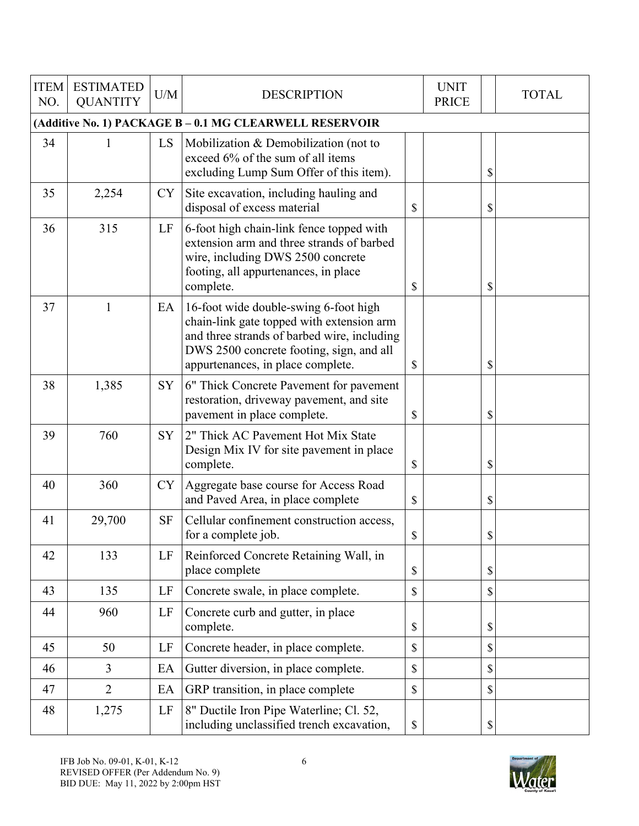| <b>ITEM</b><br>NO. | <b>ESTIMATED</b><br><b>QUANTITY</b>                     | U/M       | <b>DESCRIPTION</b>                                                                                                                                                                                                 |    | <b>UNIT</b><br><b>PRICE</b> |    | <b>TOTAL</b> |  |  |  |  |  |
|--------------------|---------------------------------------------------------|-----------|--------------------------------------------------------------------------------------------------------------------------------------------------------------------------------------------------------------------|----|-----------------------------|----|--------------|--|--|--|--|--|
|                    | (Additive No. 1) PACKAGE B - 0.1 MG CLEARWELL RESERVOIR |           |                                                                                                                                                                                                                    |    |                             |    |              |  |  |  |  |  |
| 34                 | 1                                                       | LS        | Mobilization & Demobilization (not to<br>exceed 6% of the sum of all items<br>excluding Lump Sum Offer of this item).                                                                                              |    |                             | \$ |              |  |  |  |  |  |
| 35                 | 2,254                                                   | <b>CY</b> | Site excavation, including hauling and<br>disposal of excess material                                                                                                                                              | \$ |                             | \$ |              |  |  |  |  |  |
| 36                 | 315                                                     | LF        | 6-foot high chain-link fence topped with<br>extension arm and three strands of barbed<br>wire, including DWS 2500 concrete<br>footing, all appurtenances, in place<br>complete.                                    | \$ |                             | \$ |              |  |  |  |  |  |
| 37                 | $\mathbf{1}$                                            | EA        | 16-foot wide double-swing 6-foot high<br>chain-link gate topped with extension arm<br>and three strands of barbed wire, including<br>DWS 2500 concrete footing, sign, and all<br>appurtenances, in place complete. | \$ |                             | \$ |              |  |  |  |  |  |
| 38                 | 1,385                                                   | SY        | 6" Thick Concrete Pavement for pavement<br>restoration, driveway pavement, and site<br>pavement in place complete.                                                                                                 | \$ |                             | \$ |              |  |  |  |  |  |
| 39                 | 760                                                     | <b>SY</b> | 2" Thick AC Pavement Hot Mix State<br>Design Mix IV for site pavement in place<br>complete.                                                                                                                        | \$ |                             | \$ |              |  |  |  |  |  |
| 40                 | 360                                                     | <b>CY</b> | Aggregate base course for Access Road<br>and Paved Area, in place complete                                                                                                                                         | \$ |                             | \$ |              |  |  |  |  |  |
| 41                 | 29,700                                                  | <b>SF</b> | Cellular confinement construction access,<br>for a complete job.                                                                                                                                                   | \$ |                             | \$ |              |  |  |  |  |  |
| 42                 | 133                                                     | LF        | Reinforced Concrete Retaining Wall, in<br>place complete                                                                                                                                                           | \$ |                             | \$ |              |  |  |  |  |  |
| 43                 | 135                                                     | LF        | Concrete swale, in place complete.                                                                                                                                                                                 | \$ |                             | \$ |              |  |  |  |  |  |
| 44                 | 960                                                     | LF        | Concrete curb and gutter, in place<br>complete.                                                                                                                                                                    | \$ |                             | \$ |              |  |  |  |  |  |
| 45                 | 50                                                      | LF        | Concrete header, in place complete.                                                                                                                                                                                | \$ |                             | \$ |              |  |  |  |  |  |
| 46                 | $\overline{3}$                                          | EA        | Gutter diversion, in place complete.                                                                                                                                                                               | \$ |                             | \$ |              |  |  |  |  |  |
| 47                 | $\overline{2}$                                          | EA        | GRP transition, in place complete                                                                                                                                                                                  | \$ |                             | \$ |              |  |  |  |  |  |
| 48                 | 1,275                                                   | LF        | 8" Ductile Iron Pipe Waterline; Cl. 52,<br>including unclassified trench excavation,                                                                                                                               | \$ |                             | \$ |              |  |  |  |  |  |

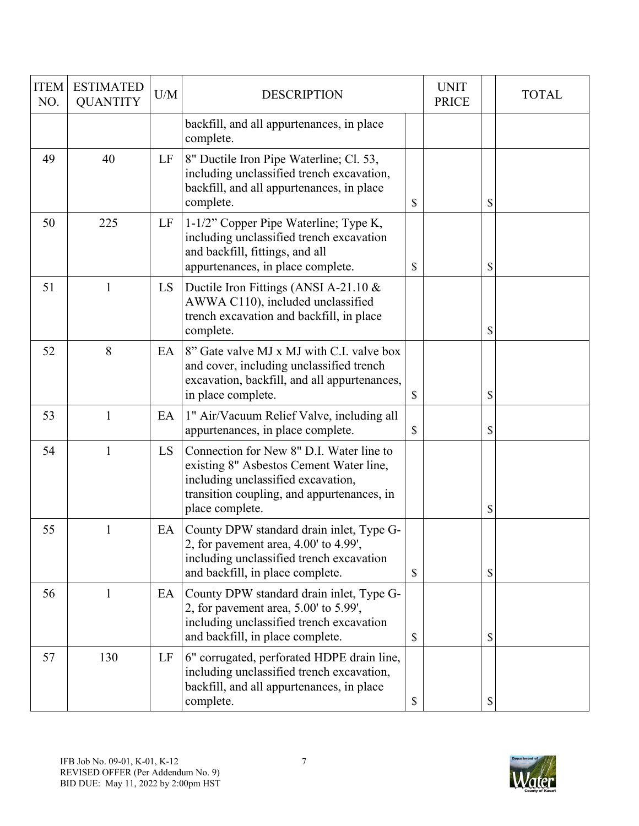| <b>ITEM</b><br>NO. | <b>ESTIMATED</b><br><b>QUANTITY</b> | U/M | <b>DESCRIPTION</b>                                                                                                                                                                         | <b>UNIT</b><br><b>PRICE</b> | <b>TOTAL</b> |
|--------------------|-------------------------------------|-----|--------------------------------------------------------------------------------------------------------------------------------------------------------------------------------------------|-----------------------------|--------------|
|                    |                                     |     | backfill, and all appurtenances, in place<br>complete.                                                                                                                                     |                             |              |
| 49                 | 40                                  | LF  | 8" Ductile Iron Pipe Waterline; Cl. 53,<br>including unclassified trench excavation,<br>backfill, and all appurtenances, in place<br>complete.                                             | \$                          | \$           |
| 50                 | 225                                 | LF  | 1-1/2" Copper Pipe Waterline; Type K,<br>including unclassified trench excavation<br>and backfill, fittings, and all<br>appurtenances, in place complete.                                  | \$                          | \$           |
| 51                 | $\mathbf{1}$                        | LS. | Ductile Iron Fittings (ANSI A-21.10 $\&$<br>AWWA C110), included unclassified<br>trench excavation and backfill, in place<br>complete.                                                     |                             | \$           |
| 52                 | 8                                   | EA  | 8" Gate valve MJ x MJ with C.I. valve box<br>and cover, including unclassified trench<br>excavation, backfill, and all appurtenances,<br>in place complete.                                | \$                          | \$           |
| 53                 | 1                                   | EA  | 1" Air/Vacuum Relief Valve, including all<br>appurtenances, in place complete.                                                                                                             | \$                          | \$           |
| 54                 | 1                                   | LS  | Connection for New 8" D.I. Water line to<br>existing 8" Asbestos Cement Water line,<br>including unclassified excavation,<br>transition coupling, and appurtenances, in<br>place complete. |                             | \$           |
| 55                 | 1                                   | EA  | County DPW standard drain inlet, Type G-<br>2, for pavement area, $4.00'$ to $4.99'$ ,<br>including unclassified trench excavation<br>and backfill, in place complete.                     | \$                          | \$           |
| 56                 | 1                                   | EA  | County DPW standard drain inlet, Type G-<br>2, for pavement area, 5.00' to 5.99',<br>including unclassified trench excavation<br>and backfill, in place complete.                          | \$                          | \$           |
| 57                 | 130                                 | LF  | 6" corrugated, perforated HDPE drain line,<br>including unclassified trench excavation,<br>backfill, and all appurtenances, in place<br>complete.                                          | \$                          | \$           |

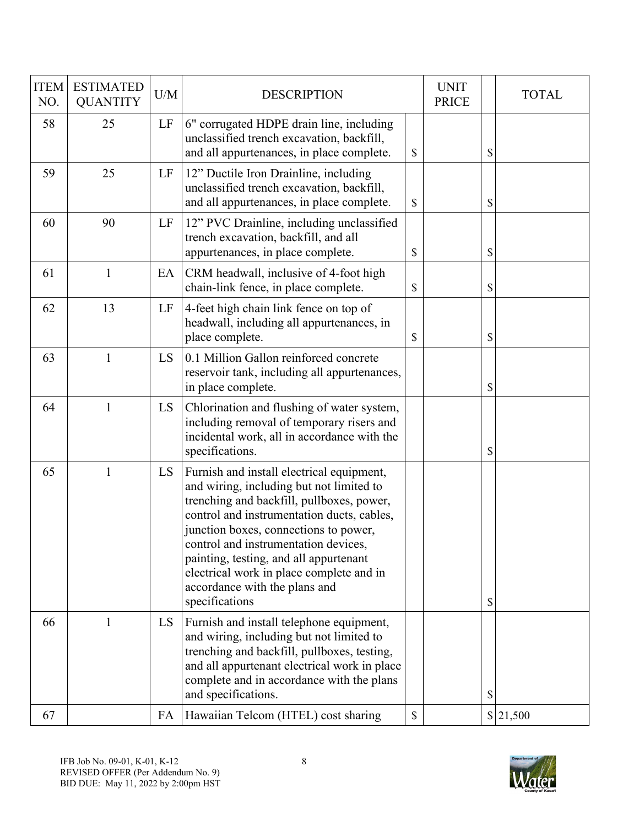| <b>ITEM</b><br>NO. | <b>ESTIMATED</b><br><b>QUANTITY</b> | U/M | <b>DESCRIPTION</b>                                                                                                                                                                                                                                                                                                                                                                                         |               | <b>UNIT</b><br><b>PRICE</b> | <b>TOTAL</b> |
|--------------------|-------------------------------------|-----|------------------------------------------------------------------------------------------------------------------------------------------------------------------------------------------------------------------------------------------------------------------------------------------------------------------------------------------------------------------------------------------------------------|---------------|-----------------------------|--------------|
| 58                 | 25                                  | LF  | 6" corrugated HDPE drain line, including<br>unclassified trench excavation, backfill,<br>and all appurtenances, in place complete.                                                                                                                                                                                                                                                                         | \$            |                             | \$           |
| 59                 | 25                                  | LF  | 12" Ductile Iron Drainline, including<br>unclassified trench excavation, backfill,<br>and all appurtenances, in place complete.                                                                                                                                                                                                                                                                            | $\mathcal{S}$ |                             | \$           |
| 60                 | 90                                  | LF  | 12" PVC Drainline, including unclassified<br>trench excavation, backfill, and all<br>appurtenances, in place complete.                                                                                                                                                                                                                                                                                     | \$            |                             | \$           |
| 61                 | $\mathbf{1}$                        | EA  | CRM headwall, inclusive of 4-foot high<br>chain-link fence, in place complete.                                                                                                                                                                                                                                                                                                                             | \$            |                             | \$           |
| 62                 | 13                                  | LF  | 4-feet high chain link fence on top of<br>headwall, including all appurtenances, in<br>place complete.                                                                                                                                                                                                                                                                                                     | \$            |                             | \$           |
| 63                 | $\mathbf{1}$                        | LS  | 0.1 Million Gallon reinforced concrete<br>reservoir tank, including all appurtenances,<br>in place complete.                                                                                                                                                                                                                                                                                               |               |                             | \$           |
| 64                 | $\mathbf{1}$                        | LS  | Chlorination and flushing of water system,<br>including removal of temporary risers and<br>incidental work, all in accordance with the<br>specifications.                                                                                                                                                                                                                                                  |               |                             | \$           |
| 65                 | 1                                   | LS  | Furnish and install electrical equipment,<br>and wiring, including but not limited to<br>trenching and backfill, pullboxes, power,<br>control and instrumentation ducts, cables,<br>junction boxes, connections to power,<br>control and instrumentation devices,<br>painting, testing, and all appurtenant<br>electrical work in place complete and in<br>accordance with the plans and<br>specifications |               |                             | \$           |
| 66                 | 1                                   | LS  | Furnish and install telephone equipment,<br>and wiring, including but not limited to<br>trenching and backfill, pullboxes, testing,<br>and all appurtenant electrical work in place<br>complete and in accordance with the plans<br>and specifications.                                                                                                                                                    |               |                             | \$           |
| 67                 |                                     | FA  | Hawaiian Telcom (HTEL) cost sharing                                                                                                                                                                                                                                                                                                                                                                        | $\mathbb{S}$  |                             | 21,500       |

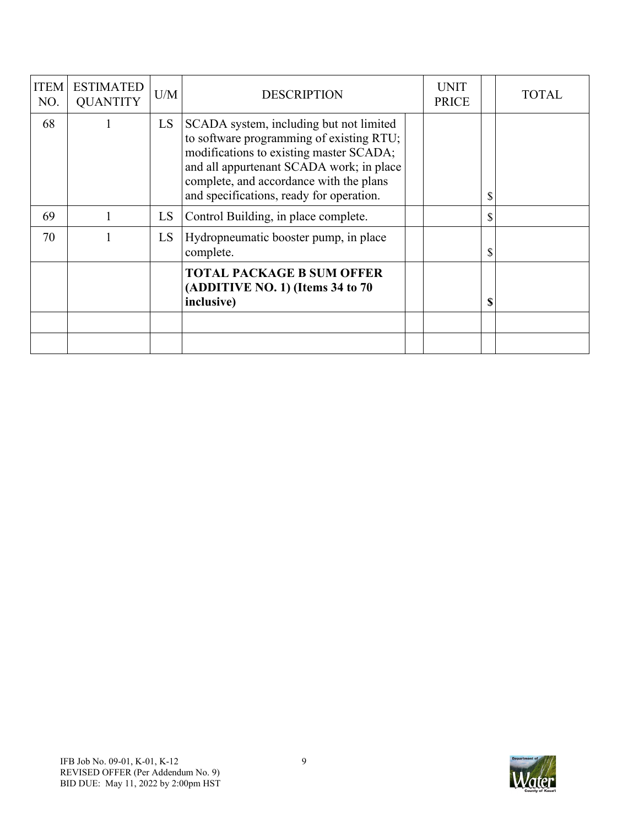| <b>ITEM</b><br>NO. | <b>ESTIMATED</b><br><b>QUANTITY</b> | U/M | <b>DESCRIPTION</b>                                                                                                                                                                                                                                                | <b>UNIT</b><br><b>PRICE</b> |              | TOTAL |
|--------------------|-------------------------------------|-----|-------------------------------------------------------------------------------------------------------------------------------------------------------------------------------------------------------------------------------------------------------------------|-----------------------------|--------------|-------|
| 68                 |                                     | LS. | SCADA system, including but not limited<br>to software programming of existing RTU;<br>modifications to existing master SCADA;<br>and all appurtenant SCADA work; in place<br>complete, and accordance with the plans<br>and specifications, ready for operation. |                             | \$           |       |
| 69                 |                                     | LS  | Control Building, in place complete.                                                                                                                                                                                                                              |                             | $\mathbb{S}$ |       |
| 70                 |                                     | LS  | Hydropneumatic booster pump, in place<br>complete.                                                                                                                                                                                                                |                             | \$           |       |
|                    |                                     |     | <b>TOTAL PACKAGE B SUM OFFER</b><br>(ADDITIVE NO. 1) (Items 34 to 70<br>inclusive)                                                                                                                                                                                |                             | \$           |       |
|                    |                                     |     |                                                                                                                                                                                                                                                                   |                             |              |       |
|                    |                                     |     |                                                                                                                                                                                                                                                                   |                             |              |       |

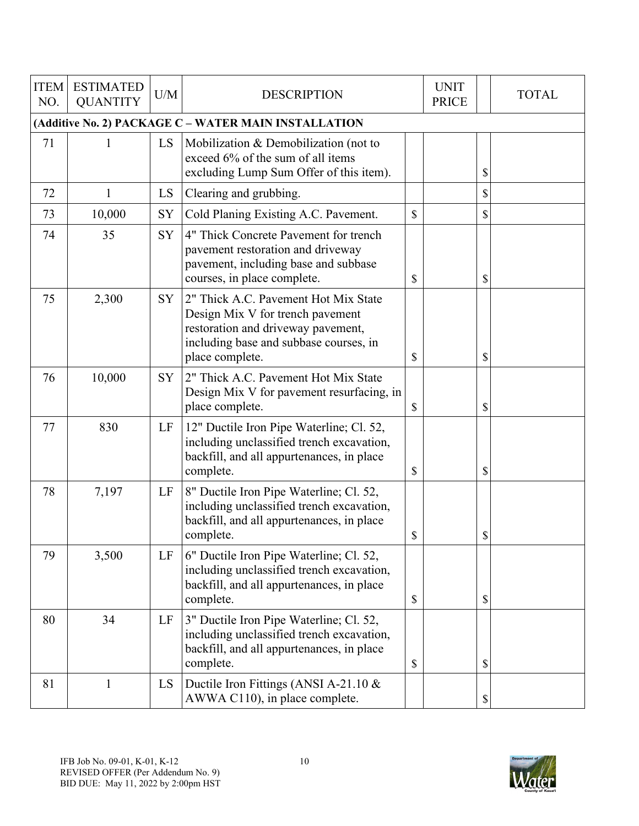| <b>ITEM</b><br>NO. | <b>ESTIMATED</b><br><b>QUANTITY</b>                  | U/M       | <b>DESCRIPTION</b>                                                                                                                                                          |    | <b>UNIT</b><br><b>PRICE</b> |    | <b>TOTAL</b> |  |  |  |  |  |
|--------------------|------------------------------------------------------|-----------|-----------------------------------------------------------------------------------------------------------------------------------------------------------------------------|----|-----------------------------|----|--------------|--|--|--|--|--|
|                    | (Additive No. 2) PACKAGE C - WATER MAIN INSTALLATION |           |                                                                                                                                                                             |    |                             |    |              |  |  |  |  |  |
| 71                 |                                                      | LS        | Mobilization & Demobilization (not to<br>exceed 6% of the sum of all items<br>excluding Lump Sum Offer of this item).                                                       |    |                             | \$ |              |  |  |  |  |  |
| 72                 | $\mathbf{1}$                                         | LS        | Clearing and grubbing.                                                                                                                                                      |    |                             | \$ |              |  |  |  |  |  |
| 73                 | 10,000                                               | SY        | Cold Planing Existing A.C. Pavement.                                                                                                                                        | \$ |                             | \$ |              |  |  |  |  |  |
| 74                 | 35                                                   | SY        | 4" Thick Concrete Pavement for trench<br>pavement restoration and driveway<br>pavement, including base and subbase<br>courses, in place complete.                           | \$ |                             | \$ |              |  |  |  |  |  |
| 75                 | 2,300                                                | <b>SY</b> | 2" Thick A.C. Pavement Hot Mix State<br>Design Mix V for trench pavement<br>restoration and driveway pavement,<br>including base and subbase courses, in<br>place complete. | \$ |                             | \$ |              |  |  |  |  |  |
| 76                 | 10,000                                               | SY        | 2" Thick A.C. Pavement Hot Mix State<br>Design Mix V for pavement resurfacing, in<br>place complete.                                                                        | \$ |                             | \$ |              |  |  |  |  |  |
| 77                 | 830                                                  | LF        | 12" Ductile Iron Pipe Waterline; Cl. 52,<br>including unclassified trench excavation,<br>backfill, and all appurtenances, in place<br>complete.                             | \$ |                             | \$ |              |  |  |  |  |  |
| 78                 | 7,197                                                | LF        | 8" Ductile Iron Pipe Waterline; Cl. 52,<br>including unclassified trench excavation,<br>backfill, and all appurtenances, in place<br>complete.                              | \$ |                             | \$ |              |  |  |  |  |  |
| 79                 | 3,500                                                | LF        | 6" Ductile Iron Pipe Waterline; Cl. 52,<br>including unclassified trench excavation,<br>backfill, and all appurtenances, in place<br>complete.                              | \$ |                             | \$ |              |  |  |  |  |  |
| 80                 | 34                                                   | LF        | 3" Ductile Iron Pipe Waterline; Cl. 52,<br>including unclassified trench excavation,<br>backfill, and all appurtenances, in place<br>complete.                              | \$ |                             | \$ |              |  |  |  |  |  |
| 81                 | 1                                                    | LS        | Ductile Iron Fittings (ANSI A-21.10 &<br>AWWA C110), in place complete.                                                                                                     |    |                             | \$ |              |  |  |  |  |  |

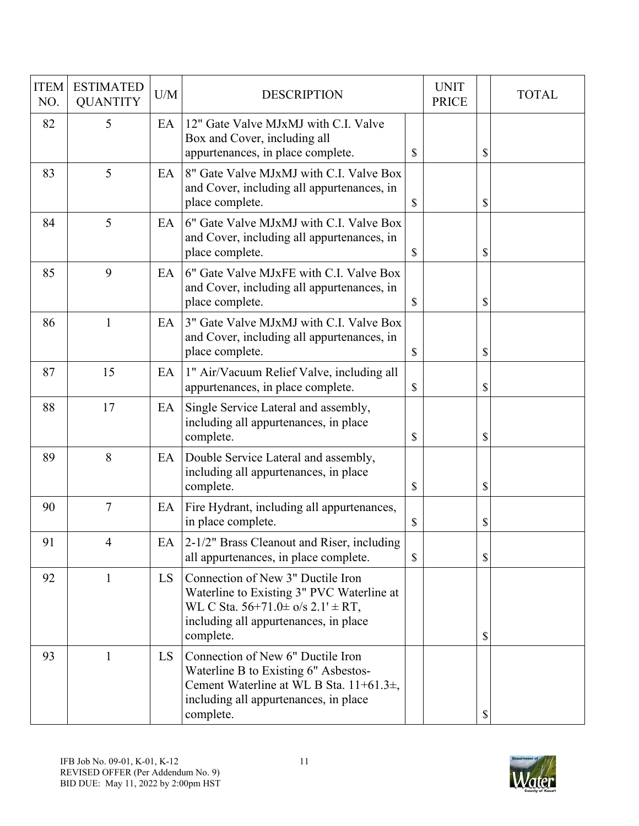| <b>ITEM</b><br>NO. | <b>ESTIMATED</b><br><b>QUANTITY</b> | U/M | <b>DESCRIPTION</b>                                                                                                                                                                         |               | <b>UNIT</b><br><b>PRICE</b> | <b>TOTAL</b> |
|--------------------|-------------------------------------|-----|--------------------------------------------------------------------------------------------------------------------------------------------------------------------------------------------|---------------|-----------------------------|--------------|
| 82                 | 5                                   | EA  | 12" Gate Valve MJxMJ with C.I. Valve<br>Box and Cover, including all<br>appurtenances, in place complete.                                                                                  | \$            |                             | \$           |
| 83                 | 5                                   | EA  | 8" Gate Valve MJxMJ with C.I. Valve Box<br>and Cover, including all appurtenances, in<br>place complete.                                                                                   | $\mathcal{S}$ |                             | \$           |
| 84                 | 5                                   | EA  | 6" Gate Valve MJxMJ with C.I. Valve Box<br>and Cover, including all appurtenances, in<br>place complete.                                                                                   | $\mathcal{S}$ |                             | \$           |
| 85                 | 9                                   | EA  | 6" Gate Valve MJxFE with C.I. Valve Box<br>and Cover, including all appurtenances, in<br>place complete.                                                                                   | \$            |                             | \$           |
| 86                 | 1                                   | EA  | 3" Gate Valve MJxMJ with C.I. Valve Box<br>and Cover, including all appurtenances, in<br>place complete.                                                                                   | \$            |                             | \$           |
| 87                 | 15                                  | EA  | 1" Air/Vacuum Relief Valve, including all<br>appurtenances, in place complete.                                                                                                             | \$            |                             | \$           |
| 88                 | 17                                  | EA  | Single Service Lateral and assembly,<br>including all appurtenances, in place<br>complete.                                                                                                 | \$            |                             | \$           |
| 89                 | 8                                   | EA  | Double Service Lateral and assembly,<br>including all appurtenances, in place<br>complete.                                                                                                 | \$            |                             | \$           |
| 90                 | $\tau$                              | EA  | Fire Hydrant, including all appurtenances,<br>in place complete.                                                                                                                           | \$            |                             | \$           |
| 91                 | 4                                   | EA  | 2-1/2" Brass Cleanout and Riser, including<br>all appurtenances, in place complete.                                                                                                        | $\mathbb{S}$  |                             | \$           |
| 92                 | 1                                   | LS  | Connection of New 3" Ductile Iron<br>Waterline to Existing 3" PVC Waterline at<br>WL C Sta. $56+71.0 \pm \frac{6}{5}$ 2.1' $\pm$ RT,<br>including all appurtenances, in place<br>complete. |               |                             | \$           |
| 93                 | $\mathbf{1}$                        | LS. | Connection of New 6" Ductile Iron<br>Waterline B to Existing 6" Asbestos-<br>Cement Waterline at WL B Sta. 11+61.3±,<br>including all appurtenances, in place<br>complete.                 |               |                             | \$           |

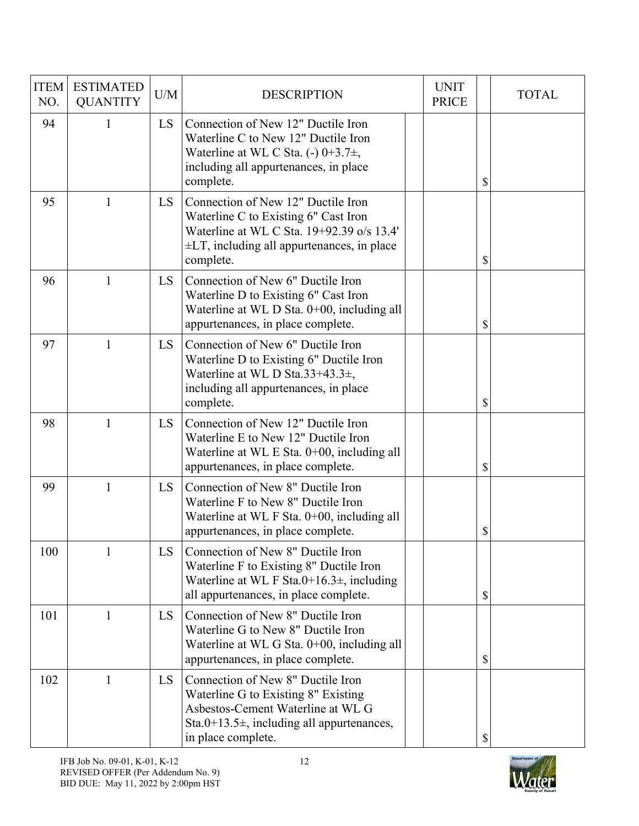| <b>ITEM</b><br>NO. | <b>ESTIMATED</b><br><b>QUANTITY</b> | U/M       | <b>DESCRIPTION</b>                                                                                                                                                                      | <b>UNIT</b><br><b>PRICE</b> | <b>TOTAL</b> |
|--------------------|-------------------------------------|-----------|-----------------------------------------------------------------------------------------------------------------------------------------------------------------------------------------|-----------------------------|--------------|
| 94                 | $\mathbf{1}$                        | <b>LS</b> | Connection of New 12" Ductile Iron<br>Waterline C to New 12" Ductile Iron<br>Waterline at WL C Sta. (-) $0+3.7\pm$ ,<br>including all appurtenances, in place<br>complete.              |                             | \$           |
| 95                 | 1                                   | <b>LS</b> | Connection of New 12" Ductile Iron<br>Waterline C to Existing 6" Cast Iron<br>Waterline at WL C Sta. 19+92.39 o/s 13.4'<br>$\pm$ LT, including all appurtenances, in place<br>complete. |                             | \$           |
| 96                 | $\mathbf{1}$                        | <b>LS</b> | Connection of New 6" Ductile Iron<br>Waterline D to Existing 6" Cast Iron<br>Waterline at WL D Sta. 0+00, including all<br>appurtenances, in place complete.                            |                             | \$           |
| 97                 | $\mathbf{1}$                        | <b>LS</b> | Connection of New 6" Ductile Iron<br>Waterline D to Existing 6" Ductile Iron<br>Waterline at WL D Sta.33+43.3 $\pm$ ,<br>including all appurtenances, in place<br>complete.             |                             | \$           |
| 98                 | $\mathbf{1}$                        | <b>LS</b> | Connection of New 12" Ductile Iron<br>Waterline E to New 12" Ductile Iron<br>Waterline at WL E Sta. $0+00$ , including all<br>appurtenances, in place complete.                         |                             | \$           |
| 99                 | $\mathbf{1}$                        | LS        | Connection of New 8" Ductile Iron<br>Waterline F to New 8" Ductile Iron<br>Waterline at WL F Sta. 0+00, including all<br>appurtenances, in place complete.                              |                             | \$           |
| 100                | 1                                   | LS        | Connection of New 8" Ductile Iron<br>Waterline F to Existing 8" Ductile Iron<br>Waterline at WL F Sta.0+16.3 $\pm$ , including<br>all appurtenances, in place complete.                 |                             | \$           |
| 101                | 1                                   | LS        | Connection of New 8" Ductile Iron<br>Waterline G to New 8" Ductile Iron<br>Waterline at WL G Sta. 0+00, including all<br>appurtenances, in place complete.                              |                             | \$           |
| 102                | $\mathbf{1}$                        | LS        | Connection of New 8" Ductile Iron<br>Waterline G to Existing 8" Existing<br>Asbestos-Cement Waterline at WL G<br>Sta.0+13.5 $\pm$ , including all appurtenances,<br>in place complete.  |                             | \$           |

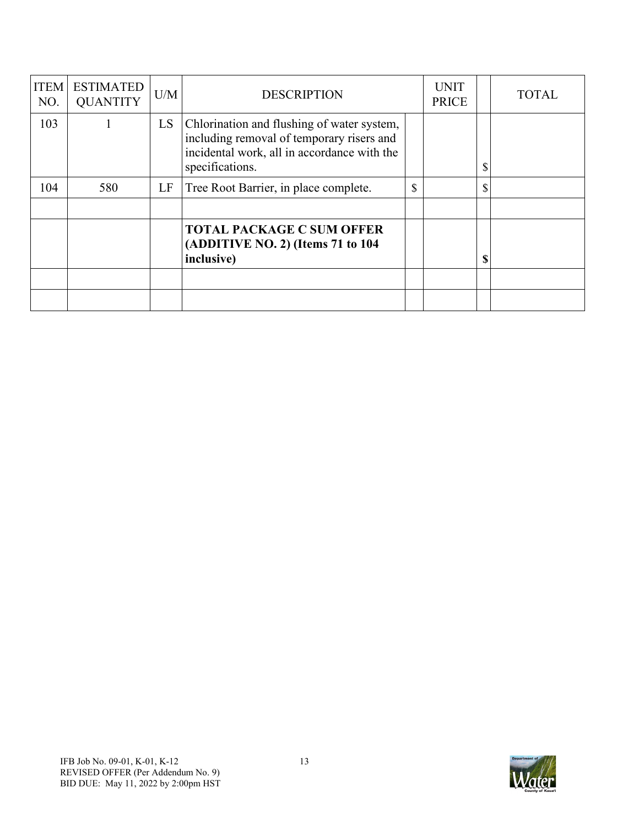| <b>ITEM</b><br>NO. | <b>ESTIMATED</b><br><b>QUANTITY</b> | U/M | <b>DESCRIPTION</b>                                                                                                                                        |              | <b>UNIT</b><br><b>PRICE</b> | <b>TOTAL</b> |
|--------------------|-------------------------------------|-----|-----------------------------------------------------------------------------------------------------------------------------------------------------------|--------------|-----------------------------|--------------|
| 103                |                                     | LS. | Chlorination and flushing of water system,<br>including removal of temporary risers and<br>incidental work, all in accordance with the<br>specifications. |              |                             | \$           |
| 104                | 580                                 | LF  | Tree Root Barrier, in place complete.                                                                                                                     | $\mathbb{S}$ |                             | \$           |
|                    |                                     |     |                                                                                                                                                           |              |                             |              |
|                    |                                     |     | <b>TOTAL PACKAGE C SUM OFFER</b><br>(ADDITIVE NO. 2) (Items 71 to 104<br>inclusive)                                                                       |              |                             | \$           |
|                    |                                     |     |                                                                                                                                                           |              |                             |              |
|                    |                                     |     |                                                                                                                                                           |              |                             |              |

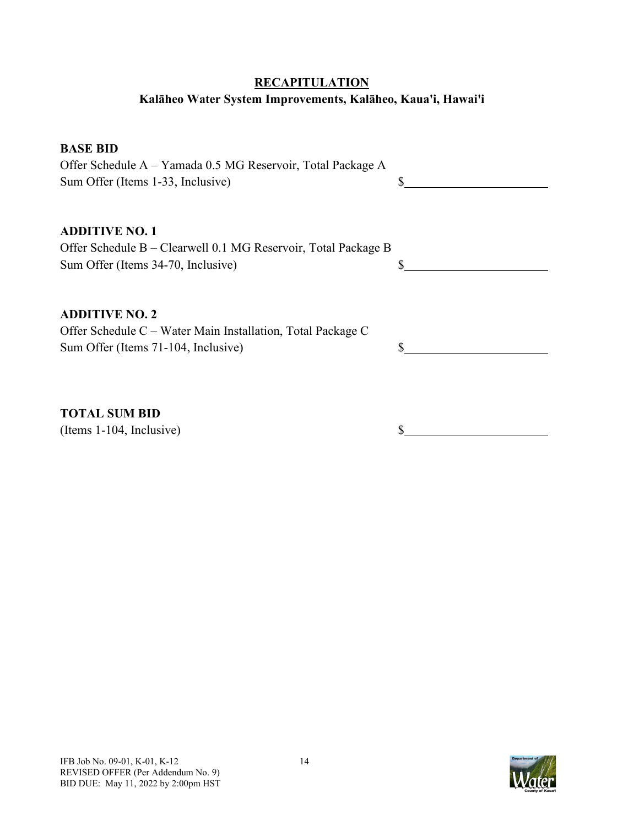# **RECAPITULATION**

# **Kalāheo Water System Improvements, Kalāheo, Kaua'i, Hawai'i**

#### **BASE BID**

Offer Schedule A – Yamada 0.5 MG Reservoir, Total Package A Sum Offer (Items 1-33, Inclusive) \$

#### **ADDITIVE NO. 1**

| Offer Schedule B – Clearwell 0.1 MG Reservoir, Total Package B |  |
|----------------------------------------------------------------|--|
| Sum Offer (Items 34-70, Inclusive)                             |  |

#### **ADDITIVE NO. 2**

Offer Schedule C – Water Main Installation, Total Package C Sum Offer (Items 71-104, Inclusive)  $\qquad$  \$

**TOTAL SUM BID**

(Items 1-104, Inclusive) \$

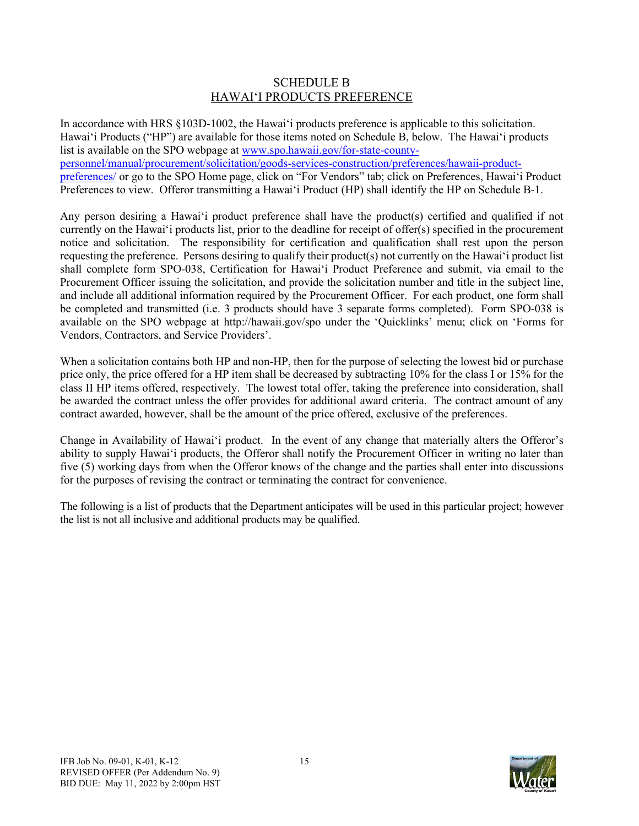#### SCHEDULE B HAWAIʻI PRODUCTS PREFERENCE

In accordance with HRS §103D-1002, the Hawai'i products preference is applicable to this solicitation. Hawai'i Products ("HP") are available for those items noted on Schedule B, below. The Hawai'i products list is available on the SPO webpage a[t www.spo.hawaii.gov/for-state-county](http://www.spo.hawaii.gov/for-state-county-personnel/manual/procurement/solicitation/goods-services-construction/preferences/hawaii-product-preferences/)[personnel/manual/procurement/solicitation/goods-services-construction/preferences/hawaii-product](http://www.spo.hawaii.gov/for-state-county-personnel/manual/procurement/solicitation/goods-services-construction/preferences/hawaii-product-preferences/)[preferences/](http://www.spo.hawaii.gov/for-state-county-personnel/manual/procurement/solicitation/goods-services-construction/preferences/hawaii-product-preferences/) or go to the SPO Home page, click on "For Vendors" tab; click on Preferences, Hawai'i Product Preferences to view. Offeror transmitting a Hawai'i Product (HP) shall identify the HP on Schedule B-1.

Any person desiring a Hawai'i product preference shall have the product(s) certified and qualified if not currently on the Hawai'i products list, prior to the deadline for receipt of offer(s) specified in the procurement notice and solicitation. The responsibility for certification and qualification shall rest upon the person requesting the preference. Persons desiring to qualify their product(s) not currently on the Hawai'i product list shall complete form SPO-038, Certification for Hawai'i Product Preference and submit, via email to the Procurement Officer issuing the solicitation, and provide the solicitation number and title in the subject line, and include all additional information required by the Procurement Officer. For each product, one form shall be completed and transmitted (i.e. 3 products should have 3 separate forms completed). Form SPO-038 is available on the SPO webpage at http://hawaii.gov/spo under the 'Quicklinks' menu; click on 'Forms for Vendors, Contractors, and Service Providers'.

When a solicitation contains both HP and non-HP, then for the purpose of selecting the lowest bid or purchase price only, the price offered for a HP item shall be decreased by subtracting 10% for the class I or 15% for the class II HP items offered, respectively. The lowest total offer, taking the preference into consideration, shall be awarded the contract unless the offer provides for additional award criteria. The contract amount of any contract awarded, however, shall be the amount of the price offered, exclusive of the preferences.

Change in Availability of Hawai'i product. In the event of any change that materially alters the Offeror's ability to supply Hawai'i products, the Offeror shall notify the Procurement Officer in writing no later than five (5) working days from when the Offeror knows of the change and the parties shall enter into discussions for the purposes of revising the contract or terminating the contract for convenience.

The following is a list of products that the Department anticipates will be used in this particular project; however the list is not all inclusive and additional products may be qualified.

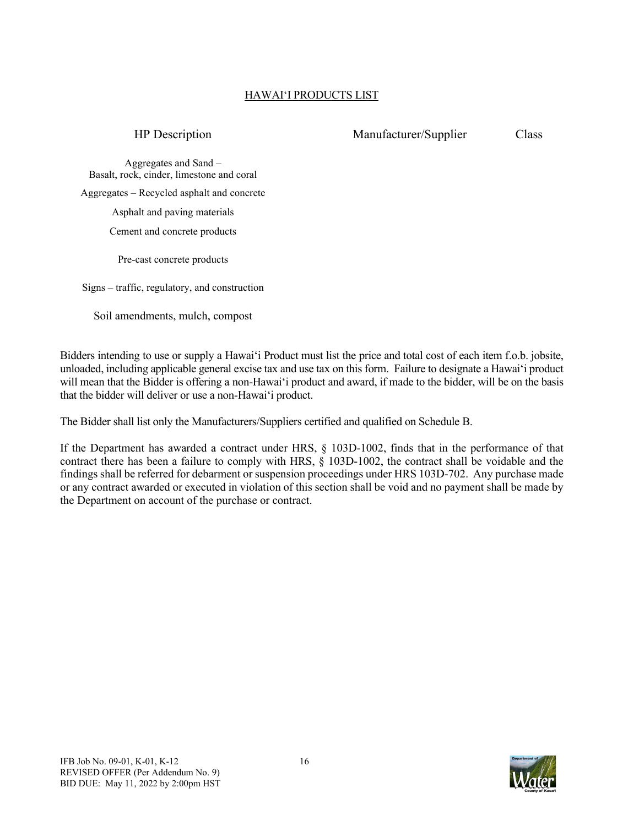# HAWAIʻI PRODUCTS LIST

#### HP Description Manufacturer/Supplier Class

Aggregates and Sand – Basalt, rock, cinder, limestone and coral Aggregates – Recycled asphalt and concrete Asphalt and paving materials Cement and concrete products

Pre-cast concrete products

Signs – traffic, regulatory, and construction

Soil amendments, mulch, compost

Bidders intending to use or supply a Hawai'i Product must list the price and total cost of each item f.o.b. jobsite, unloaded, including applicable general excise tax and use tax on this form. Failure to designate a Hawai'i product will mean that the Bidder is offering a non-Hawai'i product and award, if made to the bidder, will be on the basis that the bidder will deliver or use a non-Hawai'i product.

The Bidder shall list only the Manufacturers/Suppliers certified and qualified on Schedule B.

If the Department has awarded a contract under HRS, § 103D-1002, finds that in the performance of that contract there has been a failure to comply with HRS, § 103D-1002, the contract shall be voidable and the findings shall be referred for debarment or suspension proceedings under HRS 103D-702. Any purchase made or any contract awarded or executed in violation of this section shall be void and no payment shall be made by the Department on account of the purchase or contract.

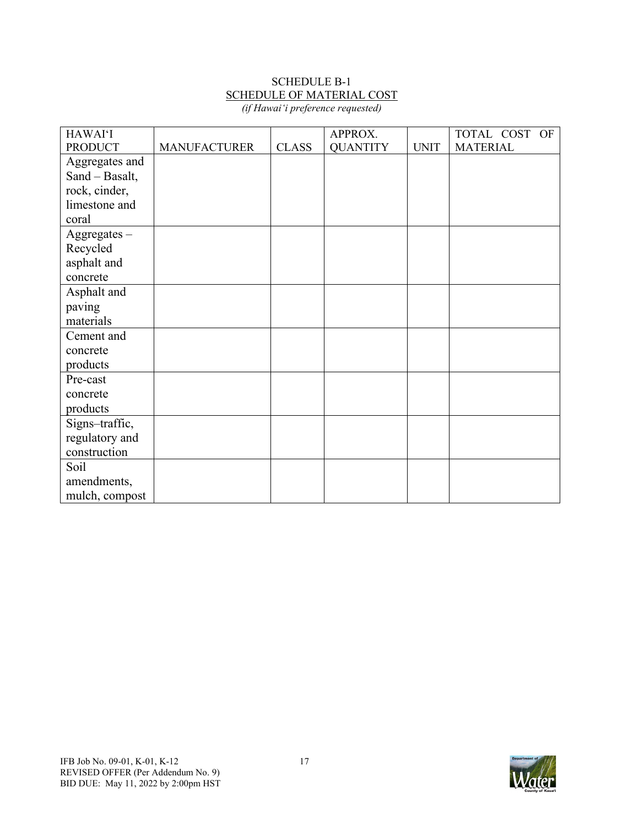# SCHEDULE B-1 SCHEDULE OF MATERIAL COST

| (if Hawai'i preference requested) |  |
|-----------------------------------|--|
|-----------------------------------|--|

| <b>HAWAI'I</b> |                     |              | APPROX.         |             | TOTAL COST OF   |
|----------------|---------------------|--------------|-----------------|-------------|-----------------|
| <b>PRODUCT</b> | <b>MANUFACTURER</b> | <b>CLASS</b> | <b>QUANTITY</b> | <b>UNIT</b> | <b>MATERIAL</b> |
| Aggregates and |                     |              |                 |             |                 |
| Sand - Basalt, |                     |              |                 |             |                 |
| rock, cinder,  |                     |              |                 |             |                 |
| limestone and  |                     |              |                 |             |                 |
| coral          |                     |              |                 |             |                 |
| $Aggregates -$ |                     |              |                 |             |                 |
| Recycled       |                     |              |                 |             |                 |
| asphalt and    |                     |              |                 |             |                 |
| concrete       |                     |              |                 |             |                 |
| Asphalt and    |                     |              |                 |             |                 |
| paving         |                     |              |                 |             |                 |
| materials      |                     |              |                 |             |                 |
| Cement and     |                     |              |                 |             |                 |
| concrete       |                     |              |                 |             |                 |
| products       |                     |              |                 |             |                 |
| Pre-cast       |                     |              |                 |             |                 |
| concrete       |                     |              |                 |             |                 |
| products       |                     |              |                 |             |                 |
| Signs-traffic, |                     |              |                 |             |                 |
| regulatory and |                     |              |                 |             |                 |
| construction   |                     |              |                 |             |                 |
| Soil           |                     |              |                 |             |                 |
| amendments,    |                     |              |                 |             |                 |
| mulch, compost |                     |              |                 |             |                 |

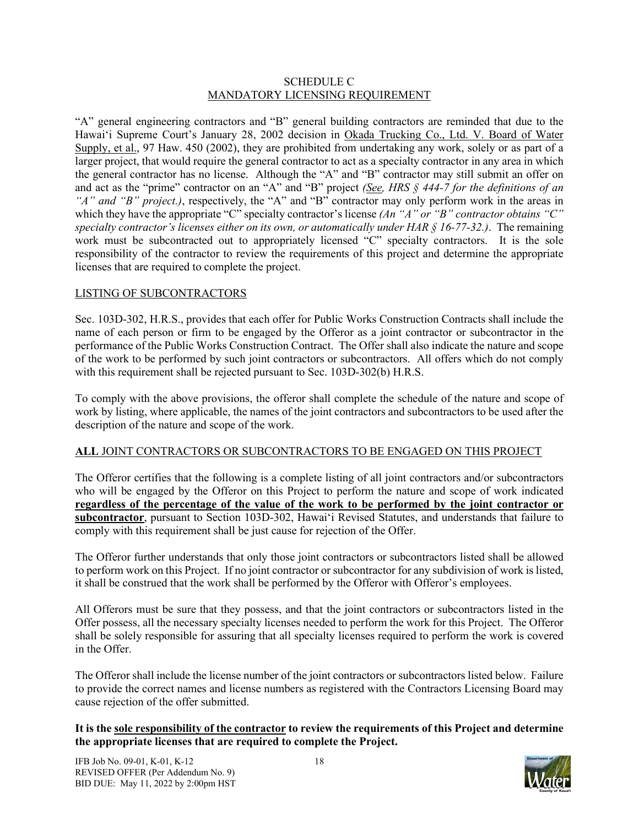#### SCHEDULE C MANDATORY LICENSING REQUIREMENT

"A" general engineering contractors and "B" general building contractors are reminded that due to the Hawaiʻi Supreme Court's January 28, 2002 decision in Okada Trucking Co., Ltd. V. Board of Water Supply, et al., 97 Haw. 450 (2002), they are prohibited from undertaking any work, solely or as part of a larger project, that would require the general contractor to act as a specialty contractor in any area in which the general contractor has no license. Although the "A" and "B" contractor may still submit an offer on and act as the "prime" contractor on an "A" and "B" project *(See, HRS § 444-7 for the definitions of an "A" and "B" project.)*, respectively, the "A" and "B" contractor may only perform work in the areas in which they have the appropriate "C" specialty contractor's license *(An "A" or "B" contractor obtains* "C" *specialty contractor's licenses either on its own, or automatically under HAR § 16-77-32.)*. The remaining work must be subcontracted out to appropriately licensed "C" specialty contractors. It is the sole responsibility of the contractor to review the requirements of this project and determine the appropriate licenses that are required to complete the project.

#### LISTING OF SUBCONTRACTORS

Sec. 103D-302, H.R.S., provides that each offer for Public Works Construction Contracts shall include the name of each person or firm to be engaged by the Offeror as a joint contractor or subcontractor in the performance of the Public Works Construction Contract. The Offer shall also indicate the nature and scope of the work to be performed by such joint contractors or subcontractors. All offers which do not comply with this requirement shall be rejected pursuant to Sec. 103D-302(b) H.R.S.

To comply with the above provisions, the offeror shall complete the schedule of the nature and scope of work by listing, where applicable, the names of the joint contractors and subcontractors to be used after the description of the nature and scope of the work.

#### **ALL** JOINT CONTRACTORS OR SUBCONTRACTORS TO BE ENGAGED ON THIS PROJECT

The Offeror certifies that the following is a complete listing of all joint contractors and/or subcontractors who will be engaged by the Offeror on this Project to perform the nature and scope of work indicated **regardless of the percentage of the value of the work to be performed by the joint contractor or subcontractor**, pursuant to Section 103D-302, Hawaiʻi Revised Statutes, and understands that failure to comply with this requirement shall be just cause for rejection of the Offer.

The Offeror further understands that only those joint contractors or subcontractors listed shall be allowed to perform work on this Project. If no joint contractor or subcontractor for any subdivision of work is listed, it shall be construed that the work shall be performed by the Offeror with Offeror's employees.

All Offerors must be sure that they possess, and that the joint contractors or subcontractors listed in the Offer possess, all the necessary specialty licenses needed to perform the work for this Project. The Offeror shall be solely responsible for assuring that all specialty licenses required to perform the work is covered in the Offer.

The Offeror shall include the license number of the joint contractors or subcontractors listed below. Failure to provide the correct names and license numbers as registered with the Contractors Licensing Board may cause rejection of the offer submitted.

#### **It is the sole responsibility of the contractor to review the requirements of this Project and determine the appropriate licenses that are required to complete the Project.**

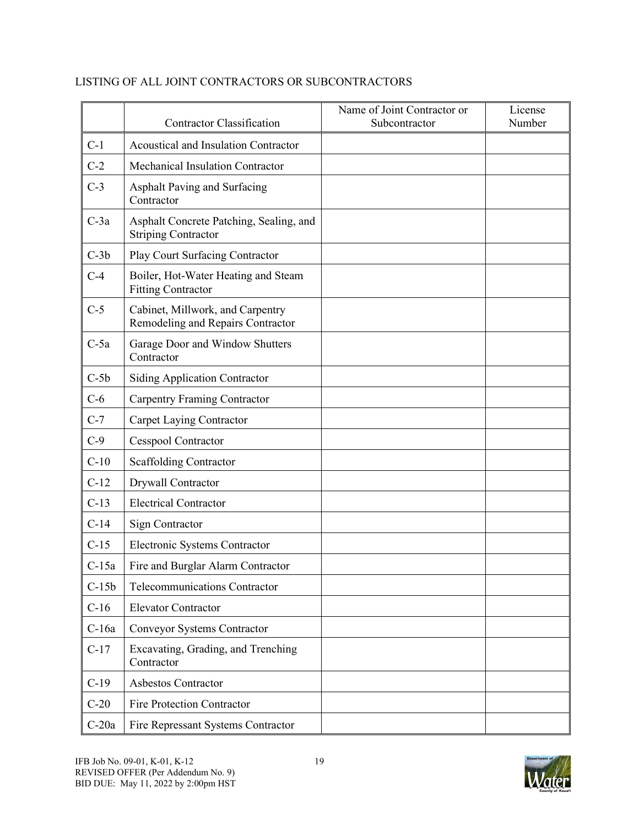|         | <b>Contractor Classification</b>                                      | Name of Joint Contractor or<br>Subcontractor | License<br>Number |
|---------|-----------------------------------------------------------------------|----------------------------------------------|-------------------|
| $C-1$   | Acoustical and Insulation Contractor                                  |                                              |                   |
| $C-2$   | Mechanical Insulation Contractor                                      |                                              |                   |
| $C-3$   | Asphalt Paving and Surfacing<br>Contractor                            |                                              |                   |
| $C-3a$  | Asphalt Concrete Patching, Sealing, and<br><b>Striping Contractor</b> |                                              |                   |
| $C-3b$  | Play Court Surfacing Contractor                                       |                                              |                   |
| $C-4$   | Boiler, Hot-Water Heating and Steam<br><b>Fitting Contractor</b>      |                                              |                   |
| $C-5$   | Cabinet, Millwork, and Carpentry<br>Remodeling and Repairs Contractor |                                              |                   |
| $C-5a$  | Garage Door and Window Shutters<br>Contractor                         |                                              |                   |
| $C-5b$  | <b>Siding Application Contractor</b>                                  |                                              |                   |
| $C-6$   | <b>Carpentry Framing Contractor</b>                                   |                                              |                   |
| $C-7$   | Carpet Laying Contractor                                              |                                              |                   |
| $C-9$   | <b>Cesspool Contractor</b>                                            |                                              |                   |
| $C-10$  | <b>Scaffolding Contractor</b>                                         |                                              |                   |
| $C-12$  | Drywall Contractor                                                    |                                              |                   |
| $C-13$  | <b>Electrical Contractor</b>                                          |                                              |                   |
| $C-14$  | Sign Contractor                                                       |                                              |                   |
| $C-15$  | Electronic Systems Contractor                                         |                                              |                   |
| $C-15a$ | Fire and Burglar Alarm Contractor                                     |                                              |                   |
| $C-15b$ | Telecommunications Contractor                                         |                                              |                   |
| $C-16$  | <b>Elevator Contractor</b>                                            |                                              |                   |
| $C-16a$ | Conveyor Systems Contractor                                           |                                              |                   |
| $C-17$  | Excavating, Grading, and Trenching<br>Contractor                      |                                              |                   |
| $C-19$  | Asbestos Contractor                                                   |                                              |                   |
| $C-20$  | Fire Protection Contractor                                            |                                              |                   |
| $C-20a$ | Fire Repressant Systems Contractor                                    |                                              |                   |

#### LISTING OF ALL JOINT CONTRACTORS OR SUBCONTRACTORS

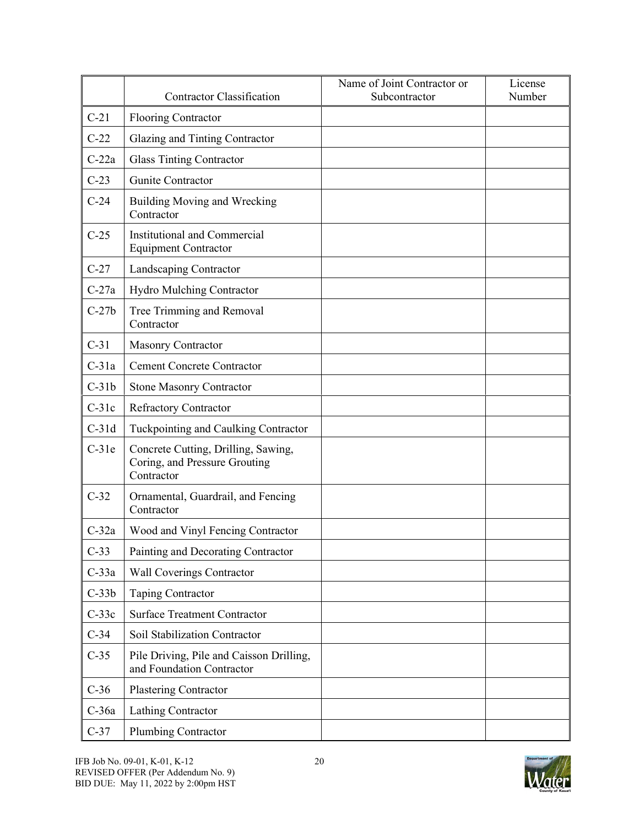|         | <b>Contractor Classification</b>                                                   | Name of Joint Contractor or<br>Subcontractor | License<br>Number |
|---------|------------------------------------------------------------------------------------|----------------------------------------------|-------------------|
| $C-21$  | <b>Flooring Contractor</b>                                                         |                                              |                   |
| $C-22$  | Glazing and Tinting Contractor                                                     |                                              |                   |
| $C-22a$ | <b>Glass Tinting Contractor</b>                                                    |                                              |                   |
| $C-23$  | Gunite Contractor                                                                  |                                              |                   |
| $C-24$  | Building Moving and Wrecking<br>Contractor                                         |                                              |                   |
| $C-25$  | Institutional and Commercial<br><b>Equipment Contractor</b>                        |                                              |                   |
| $C-27$  | Landscaping Contractor                                                             |                                              |                   |
| $C-27a$ | <b>Hydro Mulching Contractor</b>                                                   |                                              |                   |
| $C-27b$ | Tree Trimming and Removal<br>Contractor                                            |                                              |                   |
| $C-31$  | <b>Masonry Contractor</b>                                                          |                                              |                   |
| $C-31a$ | <b>Cement Concrete Contractor</b>                                                  |                                              |                   |
| $C-31b$ | <b>Stone Masonry Contractor</b>                                                    |                                              |                   |
| $C-31c$ | <b>Refractory Contractor</b>                                                       |                                              |                   |
| $C-31d$ | Tuckpointing and Caulking Contractor                                               |                                              |                   |
| $C-31e$ | Concrete Cutting, Drilling, Sawing,<br>Coring, and Pressure Grouting<br>Contractor |                                              |                   |
| $C-32$  | Ornamental, Guardrail, and Fencing<br>Contractor                                   |                                              |                   |
| $C-32a$ | Wood and Vinyl Fencing Contractor                                                  |                                              |                   |
| $C-33$  | Painting and Decorating Contractor                                                 |                                              |                   |
| $C-33a$ | Wall Coverings Contractor                                                          |                                              |                   |
| $C-33b$ | Taping Contractor                                                                  |                                              |                   |
| $C-33c$ | <b>Surface Treatment Contractor</b>                                                |                                              |                   |
| $C-34$  | Soil Stabilization Contractor                                                      |                                              |                   |
| $C-35$  | Pile Driving, Pile and Caisson Drilling,<br>and Foundation Contractor              |                                              |                   |
| $C-36$  | Plastering Contractor                                                              |                                              |                   |
| C-36a   | Lathing Contractor                                                                 |                                              |                   |
| $C-37$  | Plumbing Contractor                                                                |                                              |                   |

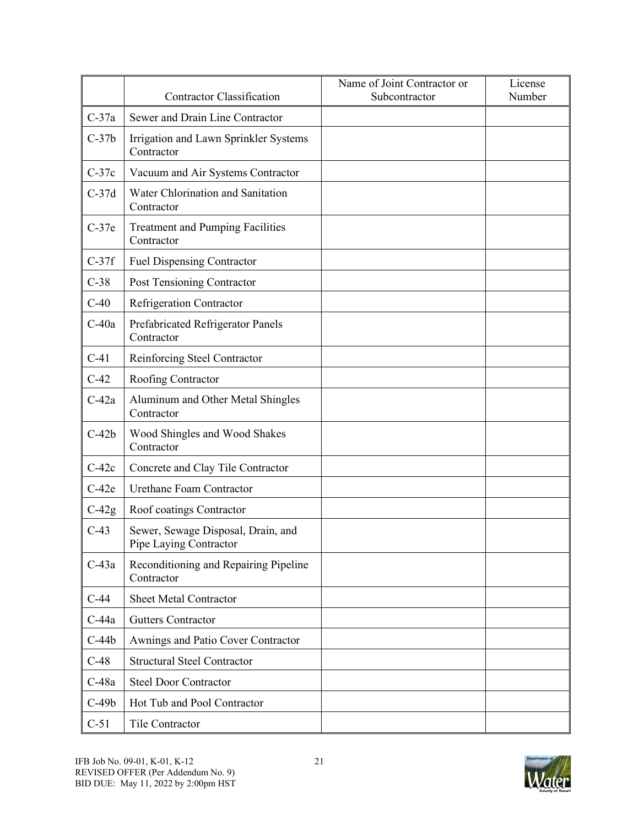|         | <b>Contractor Classification</b>                             | Name of Joint Contractor or<br>Subcontractor | License<br>Number |
|---------|--------------------------------------------------------------|----------------------------------------------|-------------------|
| $C-37a$ | Sewer and Drain Line Contractor                              |                                              |                   |
| $C-37b$ | Irrigation and Lawn Sprinkler Systems<br>Contractor          |                                              |                   |
| $C-37c$ | Vacuum and Air Systems Contractor                            |                                              |                   |
| $C-37d$ | Water Chlorination and Sanitation<br>Contractor              |                                              |                   |
| $C-37e$ | <b>Treatment and Pumping Facilities</b><br>Contractor        |                                              |                   |
| $C-37f$ | <b>Fuel Dispensing Contractor</b>                            |                                              |                   |
| $C-38$  | Post Tensioning Contractor                                   |                                              |                   |
| $C-40$  | <b>Refrigeration Contractor</b>                              |                                              |                   |
| $C-40a$ | Prefabricated Refrigerator Panels<br>Contractor              |                                              |                   |
| $C-41$  | Reinforcing Steel Contractor                                 |                                              |                   |
| $C-42$  | Roofing Contractor                                           |                                              |                   |
| $C-42a$ | Aluminum and Other Metal Shingles<br>Contractor              |                                              |                   |
| $C-42b$ | Wood Shingles and Wood Shakes<br>Contractor                  |                                              |                   |
| $C-42c$ | Concrete and Clay Tile Contractor                            |                                              |                   |
| $C-42e$ | Urethane Foam Contractor                                     |                                              |                   |
| $C-42g$ | Roof coatings Contractor                                     |                                              |                   |
| $C-43$  | Sewer, Sewage Disposal, Drain, and<br>Pipe Laying Contractor |                                              |                   |
| $C-43a$ | Reconditioning and Repairing Pipeline<br>Contractor          |                                              |                   |
| $C-44$  | <b>Sheet Metal Contractor</b>                                |                                              |                   |
| $C-44a$ | <b>Gutters Contractor</b>                                    |                                              |                   |
| $C-44b$ | Awnings and Patio Cover Contractor                           |                                              |                   |
| $C-48$  | <b>Structural Steel Contractor</b>                           |                                              |                   |
| $C-48a$ | <b>Steel Door Contractor</b>                                 |                                              |                   |
| $C-49b$ | Hot Tub and Pool Contractor                                  |                                              |                   |
| $C-51$  | Tile Contractor                                              |                                              |                   |

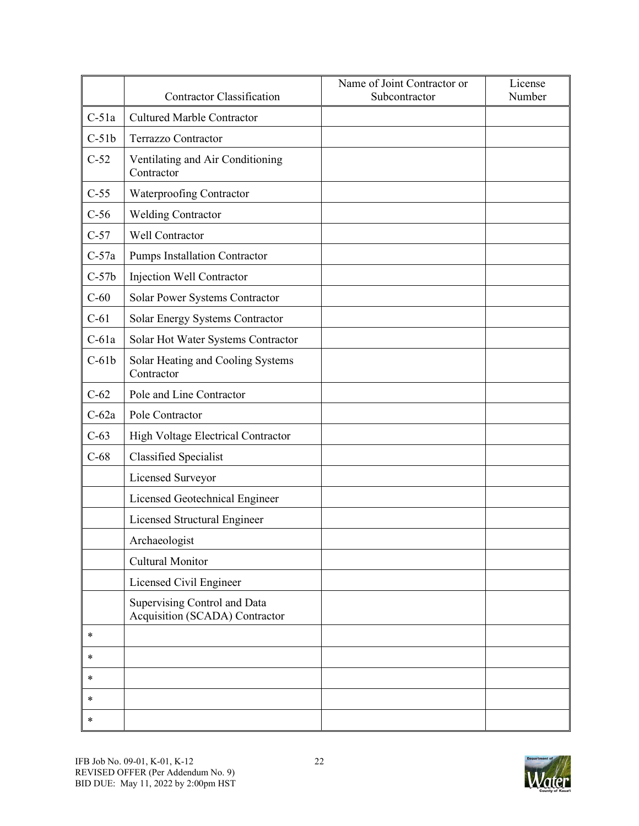|         | <b>Contractor Classification</b>                               | Name of Joint Contractor or<br>Subcontractor | License<br>Number |
|---------|----------------------------------------------------------------|----------------------------------------------|-------------------|
| $C-51a$ | <b>Cultured Marble Contractor</b>                              |                                              |                   |
| $C-51b$ | <b>Terrazzo Contractor</b>                                     |                                              |                   |
| $C-52$  | Ventilating and Air Conditioning<br>Contractor                 |                                              |                   |
| $C-55$  | Waterproofing Contractor                                       |                                              |                   |
| $C-56$  | <b>Welding Contractor</b>                                      |                                              |                   |
| $C-57$  | Well Contractor                                                |                                              |                   |
| $C-57a$ | Pumps Installation Contractor                                  |                                              |                   |
| $C-57b$ | Injection Well Contractor                                      |                                              |                   |
| $C-60$  | Solar Power Systems Contractor                                 |                                              |                   |
| $C-61$  | Solar Energy Systems Contractor                                |                                              |                   |
| $C-61a$ | Solar Hot Water Systems Contractor                             |                                              |                   |
| $C-61b$ | Solar Heating and Cooling Systems<br>Contractor                |                                              |                   |
| $C-62$  | Pole and Line Contractor                                       |                                              |                   |
| $C-62a$ | Pole Contractor                                                |                                              |                   |
| $C-63$  | High Voltage Electrical Contractor                             |                                              |                   |
| $C-68$  | <b>Classified Specialist</b>                                   |                                              |                   |
|         | Licensed Surveyor                                              |                                              |                   |
|         | Licensed Geotechnical Engineer                                 |                                              |                   |
|         | Licensed Structural Engineer                                   |                                              |                   |
|         | Archaeologist                                                  |                                              |                   |
|         | Cultural Monitor                                               |                                              |                   |
|         | Licensed Civil Engineer                                        |                                              |                   |
|         | Supervising Control and Data<br>Acquisition (SCADA) Contractor |                                              |                   |
| $\ast$  |                                                                |                                              |                   |
| $\ast$  |                                                                |                                              |                   |
| $\ast$  |                                                                |                                              |                   |
| $\ast$  |                                                                |                                              |                   |
| $\ast$  |                                                                |                                              |                   |

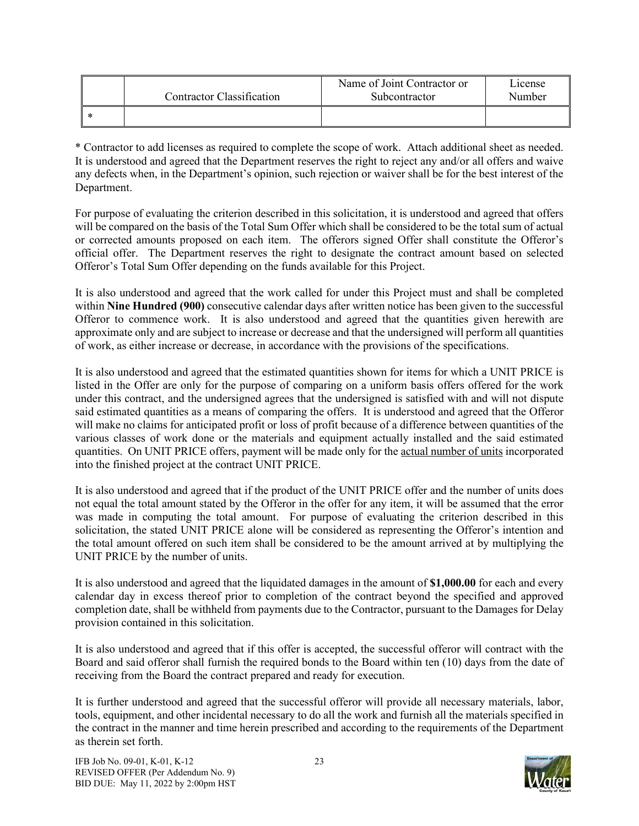| Contractor Classification | Name of Joint Contractor or<br>Subcontractor | L <sub>1</sub> cense<br>Number |
|---------------------------|----------------------------------------------|--------------------------------|
|                           |                                              |                                |

\* Contractor to add licenses as required to complete the scope of work. Attach additional sheet as needed. It is understood and agreed that the Department reserves the right to reject any and/or all offers and waive any defects when, in the Department's opinion, such rejection or waiver shall be for the best interest of the Department.

For purpose of evaluating the criterion described in this solicitation, it is understood and agreed that offers will be compared on the basis of the Total Sum Offer which shall be considered to be the total sum of actual or corrected amounts proposed on each item. The offerors signed Offer shall constitute the Offeror's official offer. The Department reserves the right to designate the contract amount based on selected Offeror's Total Sum Offer depending on the funds available for this Project.

It is also understood and agreed that the work called for under this Project must and shall be completed within **Nine Hundred (900)** consecutive calendar days after written notice has been given to the successful Offeror to commence work. It is also understood and agreed that the quantities given herewith are approximate only and are subject to increase or decrease and that the undersigned will perform all quantities of work, as either increase or decrease, in accordance with the provisions of the specifications.

It is also understood and agreed that the estimated quantities shown for items for which a UNIT PRICE is listed in the Offer are only for the purpose of comparing on a uniform basis offers offered for the work under this contract, and the undersigned agrees that the undersigned is satisfied with and will not dispute said estimated quantities as a means of comparing the offers. It is understood and agreed that the Offeror will make no claims for anticipated profit or loss of profit because of a difference between quantities of the various classes of work done or the materials and equipment actually installed and the said estimated quantities. On UNIT PRICE offers, payment will be made only for the actual number of units incorporated into the finished project at the contract UNIT PRICE.

It is also understood and agreed that if the product of the UNIT PRICE offer and the number of units does not equal the total amount stated by the Offeror in the offer for any item, it will be assumed that the error was made in computing the total amount. For purpose of evaluating the criterion described in this solicitation, the stated UNIT PRICE alone will be considered as representing the Offeror's intention and the total amount offered on such item shall be considered to be the amount arrived at by multiplying the UNIT PRICE by the number of units.

It is also understood and agreed that the liquidated damages in the amount of **\$1,000.00** for each and every calendar day in excess thereof prior to completion of the contract beyond the specified and approved completion date, shall be withheld from payments due to the Contractor, pursuant to the Damages for Delay provision contained in this solicitation.

It is also understood and agreed that if this offer is accepted, the successful offeror will contract with the Board and said offeror shall furnish the required bonds to the Board within ten (10) days from the date of receiving from the Board the contract prepared and ready for execution.

It is further understood and agreed that the successful offeror will provide all necessary materials, labor, tools, equipment, and other incidental necessary to do all the work and furnish all the materials specified in the contract in the manner and time herein prescribed and according to the requirements of the Department as therein set forth.

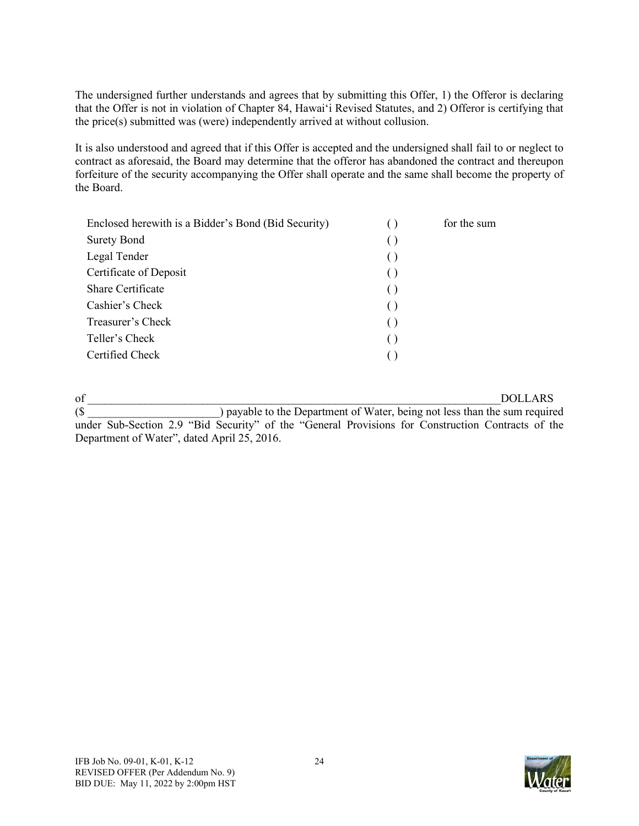The undersigned further understands and agrees that by submitting this Offer, 1) the Offeror is declaring that the Offer is not in violation of Chapter 84, Hawai'i Revised Statutes, and 2) Offeror is certifying that the price(s) submitted was (were) independently arrived at without collusion.

It is also understood and agreed that if this Offer is accepted and the undersigned shall fail to or neglect to contract as aforesaid, the Board may determine that the offeror has abandoned the contract and thereupon forfeiture of the security accompanying the Offer shall operate and the same shall become the property of the Board.

| Enclosed herewith is a Bidder's Bond (Bid Security) | for the sum |
|-----------------------------------------------------|-------------|
| <b>Surety Bond</b>                                  |             |
| Legal Tender                                        |             |
| Certificate of Deposit                              |             |
| Share Certificate                                   |             |
| Cashier's Check                                     |             |
| Treasurer's Check                                   |             |
| Teller's Check                                      |             |
| Certified Check                                     |             |
|                                                     |             |

of \_\_\_\_\_\_\_\_\_\_\_\_\_\_\_\_\_\_\_\_\_\_\_\_\_\_\_\_\_\_\_\_\_\_\_\_\_\_\_\_\_\_\_\_\_\_\_\_\_\_\_\_\_\_\_\_\_\_\_\_\_\_\_\_\_\_\_\_\_\_\_\_DOLLARS (\$ \_\_\_\_\_\_\_\_\_\_\_\_\_\_\_\_\_\_\_\_\_\_\_) payable to the Department of Water, being not less than the sum required under Sub-Section 2.9 "Bid Security" of the "General Provisions for Construction Contracts of the Department of Water", dated April 25, 2016.

IFB Job No. 09-01, K-01, K-12 24 REVISED OFFER (Per Addendum No. 9) BID DUE: May 11, 2022 by 2:00pm HST

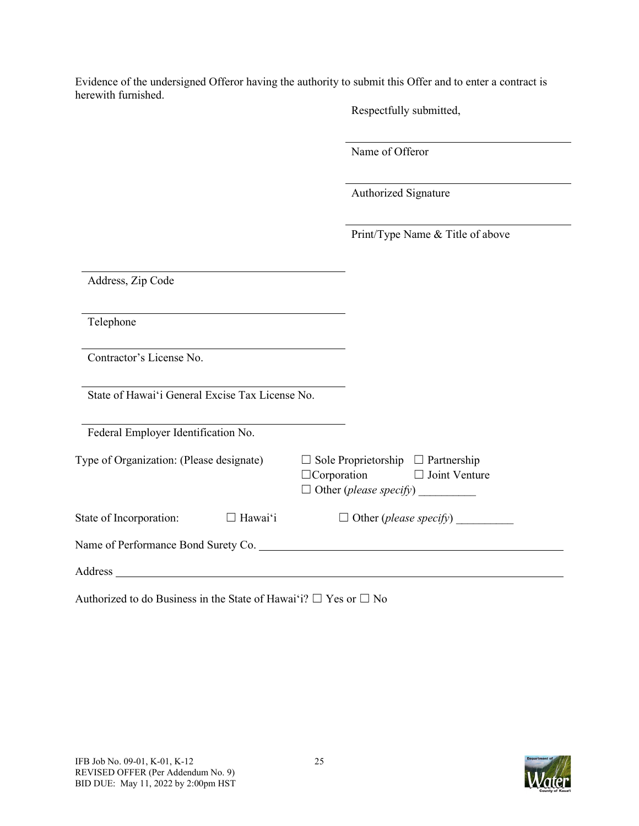Evidence of the undersigned Offeror having the authority to submit this Offer and to enter a contract is herewith furnished.

Respectfully submitted,

Name of Offeror

Authorized Signature

Print/Type Name & Title of above

| Address, Zip Code                                                                                                          |                                                                                                                      |
|----------------------------------------------------------------------------------------------------------------------------|----------------------------------------------------------------------------------------------------------------------|
| Telephone                                                                                                                  |                                                                                                                      |
| Contractor's License No.                                                                                                   |                                                                                                                      |
| State of Hawai'i General Excise Tax License No.                                                                            |                                                                                                                      |
| Federal Employer Identification No.                                                                                        |                                                                                                                      |
| Type of Organization: (Please designate)                                                                                   | Sole Proprietorship $\Box$ Partnership<br>$\Box$ Corporation $\Box$ Joint Venture<br>Other ( <i>please specify</i> ) |
| $\Box$ Hawai'i<br>State of Incorporation:                                                                                  | $\Box$ Other ( <i>please specify</i> )                                                                               |
|                                                                                                                            |                                                                                                                      |
| Address<br>the contract of the contract of the contract of the contract of the contract of the contract of the contract of |                                                                                                                      |

Authorized to do Business in the State of Hawaiʻi?  $\Box$  Yes or  $\Box$  No